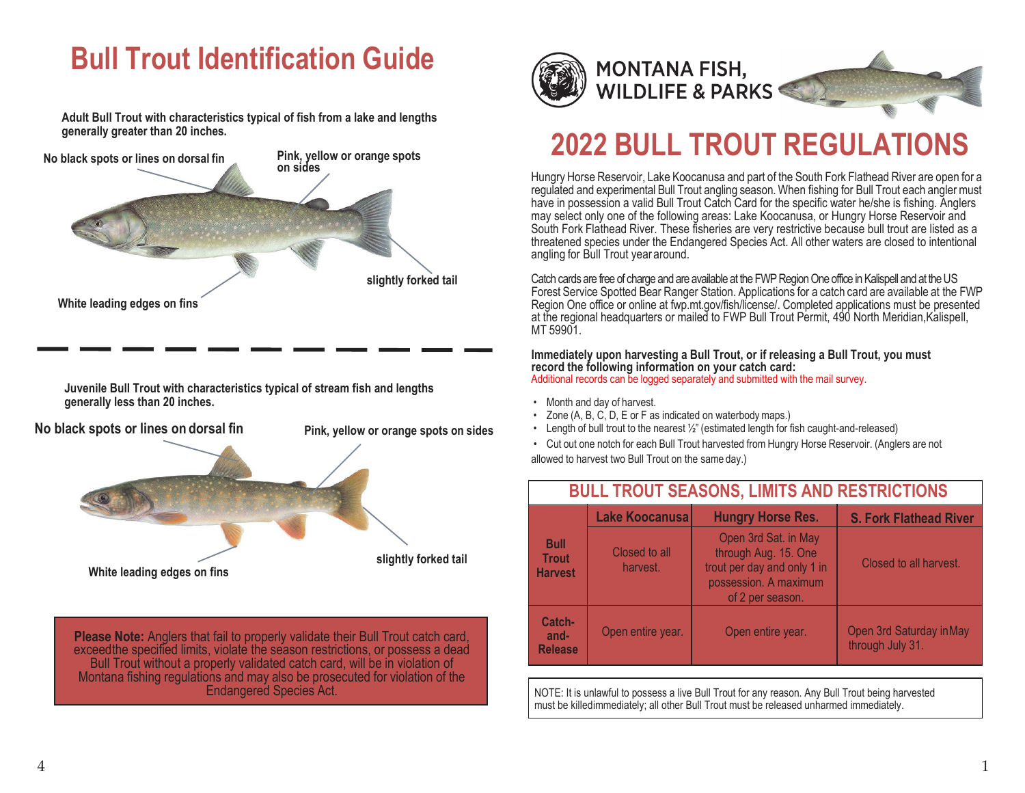# **Bull Trout Identification Guide**

**Adult Bull Trout with characteristics typical of fish from a lake and lengths generally greater than 20 inches.**



**Juvenile Bull Trout with characteristics typical of stream fish and lengths generally less than 20 inches.**



**Please Note:** Anglers that fail to properly validate their Bull Trout catch card, exceedthe specified limits, violate the season restrictions, or possess a dead Bull Trout without a properly validated catch card, will be in violation of Montana fishing regulations and may also be prosecuted for violation of the Endangered Species Act.



## **MONTANA FISH, WILDLIFE & PARKS**

# **2022 BULL TROUT REGULATIONS**

Hungry Horse Reservoir, Lake Koocanusa and part of the South Fork Flathead River are open for a regulated and experimental Bull Trout angling season. When fishing for Bull Trout each anglermust have in possession a valid Bull Trout Catch Card for the specific water he/she is fishing. Anglers may select only one of the following areas: Lake Koocanusa, or Hungry Horse Reservoir and South Fork Flathead River. These fisheries are very restrictive because bull trout are listed as a threatened species under the Endangered Species Act. All other waters are closed to intentional angling for Bull Trout year around.

Catch cards are free of charge and are available at the FWP Region One office in Kalispell and at the US Forest Service Spotted Bear Ranger Station. Applications for a catch card are available at the FWP Region One office or online at fwp.mt.gov/fish/license/. Completed applications must be presented at the regional headquarters or mailed to FWP Bull Trout Permit, 490 North Meridian,Kalispell, MT 59901.

### **Immediately upon harvesting a Bull Trout, or if releasing a Bull Trout, you must record the following information on your catch card:**

Additional records can be logged separately and submitted with the mail survey.

- Month and day of harvest.
- Zone (A, B, C, D, E or F as indicated on waterbodymaps.)
- Length of bull trout to the nearest  $\frac{1}{2}$ " (estimated length for fish caught-and-released)
- Cut out one notch for each Bull Trout harvested from Hungry Horse Reservoir. (Anglers are not allowed to harvest two Bull Trout on the same day.)

| <b>BULL TROUT SEASONS, LIMITS AND RESTRICTIONS</b> |                           |                                                                                                                          |                                              |
|----------------------------------------------------|---------------------------|--------------------------------------------------------------------------------------------------------------------------|----------------------------------------------|
| <b>Bull</b><br><b>Trout</b><br><b>Harvest</b>      | Lake Koocanusal           | <b>Hungry Horse Res.</b>                                                                                                 | <b>S. Fork Flathead River</b>                |
|                                                    | Closed to all<br>harvest. | Open 3rd Sat. in May<br>through Aug. 15. One<br>trout per day and only 1 in<br>possession. A maximum<br>of 2 per season. | Closed to all harvest.                       |
| Catch-<br>and-<br><b>Release</b>                   | Open entire year.         | Open entire year.                                                                                                        | Open 3rd Saturday in May<br>through July 31. |

NOTE: It is unlawful to possess a live Bull Trout for any reason. Any Bull Trout being harvested must be killedimmediately; all other Bull Trout must be released unharmed immediately.